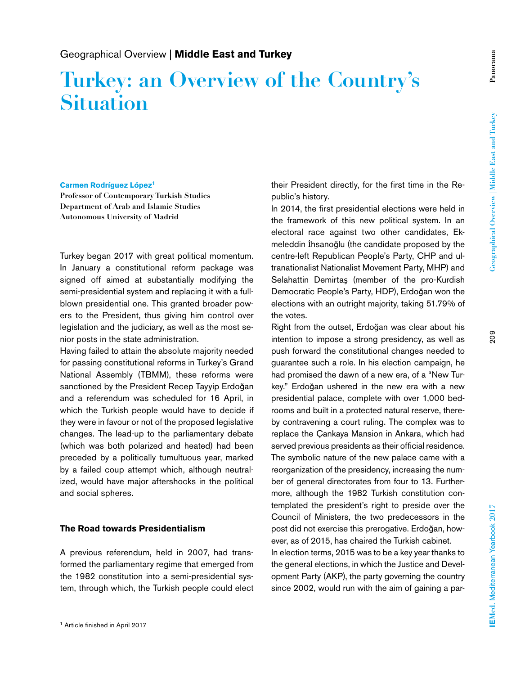# **Turkey: an Overview of the Country's Situation**

#### **Carmen Rodríguez López1**

**Professor of Contemporary Turkish Studies Department of Arab and Islamic Studies Autonomous University of Madrid**

Turkey began 2017 with great political momentum. In January a constitutional reform package was signed off aimed at substantially modifying the semi-presidential system and replacing it with a fullblown presidential one. This granted broader powers to the President, thus giving him control over legislation and the judiciary, as well as the most senior posts in the state administration.

Having failed to attain the absolute majority needed for passing constitutional reforms in Turkey's Grand National Assembly (TBMM), these reforms were sanctioned by the President Recep Tayyip Erdoğan and a referendum was scheduled for 16 April, in which the Turkish people would have to decide if they were in favour or not of the proposed legislative changes. The lead-up to the parliamentary debate (which was both polarized and heated) had been preceded by a politically tumultuous year, marked by a failed coup attempt which, although neutralized, would have major aftershocks in the political and social spheres.

#### **The Road towards Presidentialism**

A previous referendum, held in 2007, had transformed the parliamentary regime that emerged from the 1982 constitution into a semi-presidential system, through which, the Turkish people could elect their President directly, for the first time in the Republic's history.

In 2014, the first presidential elections were held in the framework of this new political system. In an electoral race against two other candidates, Ekmeleddin İhsanoğlu (the candidate proposed by the centre-left Republican People's Party, CHP and ultranationalist Nationalist Movement Party, MHP) and Selahattin Demirtaş (member of the pro-Kurdish Democratic People's Party, HDP), Erdoğan won the elections with an outright majority, taking 51.79% of the votes.

Right from the outset, Erdoğan was clear about his intention to impose a strong presidency, as well as push forward the constitutional changes needed to guarantee such a role. In his election campaign, he had promised the dawn of a new era, of a "New Turkey." Erdoğan ushered in the new era with a new presidential palace, complete with over 1,000 bedrooms and built in a protected natural reserve, thereby contravening a court ruling. The complex was to replace the Çankaya Mansion in Ankara, which had served previous presidents as their official residence. The symbolic nature of the new palace came with a reorganization of the presidency, increasing the number of general directorates from four to 13. Furthermore, although the 1982 Turkish constitution contemplated the president's right to preside over the Council of Ministers, the two predecessors in the post did not exercise this prerogative. Erdoğan, however, as of 2015, has chaired the Turkish cabinet. In election terms, 2015 was to be a key year thanks to the general elections, in which the Justice and Development Party (AKP), the party governing the country since 2002, would run with the aim of gaining a par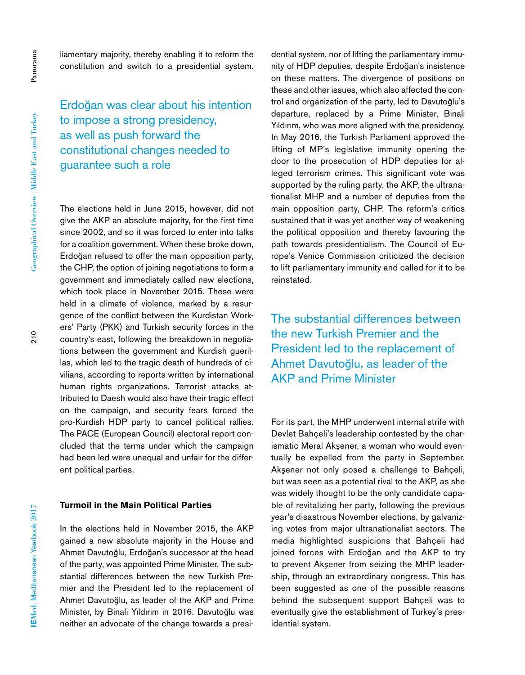liamentary majority, thereby enabling it to reform the constitution and switch to a presidential system.

Erdoğan was clear about his intention to impose a strong presidency, as well as push forward the constitutional changes needed to guarantee such a role

The elections held in June 2015, however, did not give the AKP an absolute majority, for the first time since 2002, and so it was forced to enter into talks for a coalition government. When these broke down, Erdoğan refused to offer the main opposition party, the CHP, the option of joining negotiations to form a government and immediately called new elections, which took place in November 2015. These were held in a climate of violence, marked by a resurgence of the conflict between the Kurdistan Workers' Party (PKK) and Turkish security forces in the country's east, following the breakdown in negotiations between the government and Kurdish guerillas, which led to the tragic death of hundreds of civilians, according to reports written by international human rights organizations. Terrorist attacks attributed to Daesh would also have their tragic effect on the campaign, and security fears forced the pro-Kurdish HDP party to cancel political rallies. The PACE (European Council) electoral report concluded that the terms under which the campaign had been led were unequal and unfair for the different political parties.

### **Turmoil in the Main Political Parties**

In the elections held in November 2015, the AKP gained a new absolute majority in the House and Ahmet Davutoğlu, Erdoğan's successor at the head of the party, was appointed Prime Minister. The substantial differences between the new Turkish Premier and the President led to the replacement of Ahmet Davutoğlu, as leader of the AKP and Prime Minister, by Binali Yıldırım in 2016. Davutoğlu was neither an advocate of the change towards a presi-

dential system, nor of lifting the parliamentary immunity of HDP deputies, despite Erdoğan's insistence on these matters. The divergence of positions on these and other issues, which also affected the control and organization of the party, led to Davutoğlu's departure, replaced by a Prime Minister, Binali Yıldırım, who was more aligned with the presidency. In May 2016, the Turkish Parliament approved the lifting of MP's legislative immunity opening the door to the prosecution of HDP deputies for alleged terrorism crimes. This significant vote was supported by the ruling party, the AKP, the ultranationalist MHP and a number of deputies from the main opposition party, CHP. The reform's critics sustained that it was yet another way of weakening the political opposition and thereby favouring the path towards presidentialism. The Council of Europe's Venice Commission criticized the decision to lift parliamentary immunity and called for it to be reinstated.

The substantial differences between the new Turkish Premier and the President led to the replacement of Ahmet Davutoğlu, as leader of the AKP and Prime Minister

For its part, the MHP underwent internal strife with Devlet Bahçeli's leadership contested by the charismatic Meral Akşener, a woman who would eventually be expelled from the party in September. Akşener not only posed a challenge to Bahçeli, but was seen as a potential rival to the AKP, as she was widely thought to be the only candidate capable of revitalizing her party, following the previous year's disastrous November elections, by galvanizing votes from major ultranationalist sectors. The media highlighted suspicions that Bahçeli had joined forces with Erdoğan and the AKP to try to prevent Akşener from seizing the MHP leadership, through an extraordinary congress. This has been suggested as one of the possible reasons behind the subsequent support Bahçeli was to eventually give the establishment of Turkey's presidential system.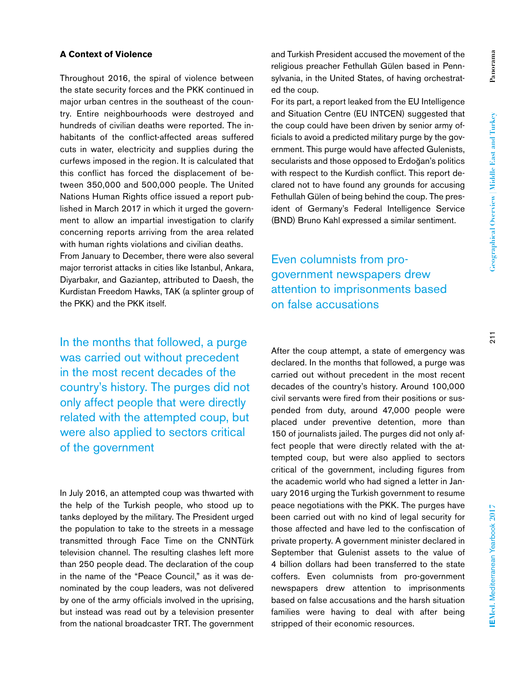#### **A Context of Violence**

Throughout 2016, the spiral of violence between the state security forces and the PKK continued in major urban centres in the southeast of the country. Entire neighbourhoods were destroyed and hundreds of civilian deaths were reported. The inhabitants of the conflict-affected areas suffered cuts in water, electricity and supplies during the curfews imposed in the region. It is calculated that this conflict has forced the displacement of between 350,000 and 500,000 people. The United Nations Human Rights office issued a report published in March 2017 in which it urged the government to allow an impartial investigation to clarify concerning reports arriving from the area related with human rights violations and civilian deaths. From January to December, there were also several major terrorist attacks in cities like Istanbul, Ankara, Diyarbakır, and Gaziantep, attributed to Daesh, the Kurdistan Freedom Hawks, TAK (a splinter group of the PKK) and the PKK itself.

In the months that followed, a purge was carried out without precedent in the most recent decades of the country's history. The purges did not only affect people that were directly related with the attempted coup, but were also applied to sectors critical of the government

In July 2016, an attempted coup was thwarted with the help of the Turkish people, who stood up to tanks deployed by the military. The President urged the population to take to the streets in a message transmitted through Face Time on the CNNTürk television channel. The resulting clashes left more than 250 people dead. The declaration of the coup in the name of the "Peace Council," as it was denominated by the coup leaders, was not delivered by one of the army officials involved in the uprising, but instead was read out by a television presenter from the national broadcaster TRT. The government and Turkish President accused the movement of the religious preacher Fethullah Gülen based in Pennsylvania, in the United States, of having orchestrated the coup.

For its part, a report leaked from the EU Intelligence and Situation Centre (EU INTCEN) suggested that the coup could have been driven by senior army officials to avoid a predicted military purge by the government. This purge would have affected Gulenists, secularists and those opposed to Erdoğan's politics with respect to the Kurdish conflict. This report declared not to have found any grounds for accusing Fethullah Gülen of being behind the coup. The president of Germany's Federal Intelligence Service (BND) Bruno Kahl expressed a similar sentiment.

Even columnists from progovernment newspapers drew attention to imprisonments based on false accusations

After the coup attempt, a state of emergency was declared. In the months that followed, a purge was carried out without precedent in the most recent decades of the country's history. Around 100,000 civil servants were fired from their positions or suspended from duty, around 47,000 people were placed under preventive detention, more than 150 of journalists jailed. The purges did not only affect people that were directly related with the attempted coup, but were also applied to sectors critical of the government, including figures from the academic world who had signed a letter in January 2016 urging the Turkish government to resume peace negotiations with the PKK. The purges have been carried out with no kind of legal security for those affected and have led to the confiscation of private property. A government minister declared in September that Gulenist assets to the value of 4 billion dollars had been transferred to the state coffers. Even columnists from pro-government newspapers drew attention to imprisonments based on false accusations and the harsh situation families were having to deal with after being stripped of their economic resources.